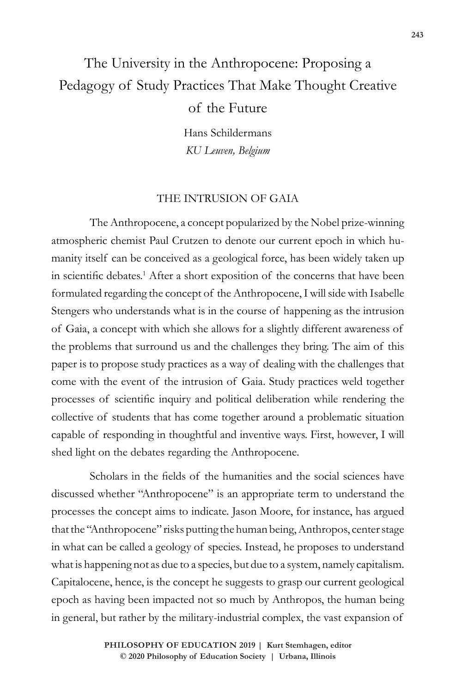# The University in the Anthropocene: Proposing a Pedagogy of Study Practices That Make Thought Creative of the Future

Hans Schildermans *KU Leuven, Belgium*

## THE INTRUSION OF GAIA

The Anthropocene, a concept popularized by the Nobel prize-winning atmospheric chemist Paul Crutzen to denote our current epoch in which humanity itself can be conceived as a geological force, has been widely taken up in scientific debates.<sup>1</sup> After a short exposition of the concerns that have been formulated regarding the concept of the Anthropocene, I will side with Isabelle Stengers who understands what is in the course of happening as the intrusion of Gaia, a concept with which she allows for a slightly different awareness of the problems that surround us and the challenges they bring. The aim of this paper is to propose study practices as a way of dealing with the challenges that come with the event of the intrusion of Gaia. Study practices weld together processes of scientific inquiry and political deliberation while rendering the collective of students that has come together around a problematic situation capable of responding in thoughtful and inventive ways. First, however, I will shed light on the debates regarding the Anthropocene.

Scholars in the fields of the humanities and the social sciences have discussed whether "Anthropocene" is an appropriate term to understand the processes the concept aims to indicate. Jason Moore, for instance, has argued that the "Anthropocene" risks putting the human being, Anthropos, center stage in what can be called a geology of species. Instead, he proposes to understand what is happening not as due to a species, but due to a system, namely capitalism. Capitalocene, hence, is the concept he suggests to grasp our current geological epoch as having been impacted not so much by Anthropos, the human being in general, but rather by the military-industrial complex, the vast expansion of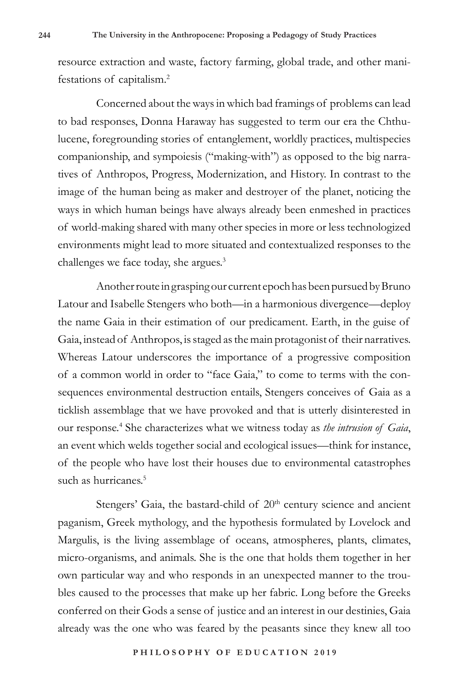resource extraction and waste, factory farming, global trade, and other manifestations of capitalism.<sup>2</sup>

Concerned about the ways in which bad framings of problems can lead to bad responses, Donna Haraway has suggested to term our era the Chthulucene, foregrounding stories of entanglement, worldly practices, multispecies companionship, and sympoiesis ("making-with") as opposed to the big narratives of Anthropos, Progress, Modernization, and History. In contrast to the image of the human being as maker and destroyer of the planet, noticing the ways in which human beings have always already been enmeshed in practices of world-making shared with many other species in more or less technologized environments might lead to more situated and contextualized responses to the challenges we face today, she argues.<sup>3</sup>

Another route in grasping our current epoch has been pursued by Bruno Latour and Isabelle Stengers who both—in a harmonious divergence—deploy the name Gaia in their estimation of our predicament. Earth, in the guise of Gaia, instead of Anthropos, is staged as the main protagonist of their narratives. Whereas Latour underscores the importance of a progressive composition of a common world in order to "face Gaia," to come to terms with the consequences environmental destruction entails, Stengers conceives of Gaia as a ticklish assemblage that we have provoked and that is utterly disinterested in our response.<sup>4</sup> She characterizes what we witness today as *the intrusion of Gaia*, an event which welds together social and ecological issues—think for instance, of the people who have lost their houses due to environmental catastrophes such as hurricanes.<sup>5</sup>

Stengers' Gaia, the bastard-child of 20<sup>th</sup> century science and ancient paganism, Greek mythology, and the hypothesis formulated by Lovelock and Margulis, is the living assemblage of oceans, atmospheres, plants, climates, micro-organisms, and animals. She is the one that holds them together in her own particular way and who responds in an unexpected manner to the troubles caused to the processes that make up her fabric. Long before the Greeks conferred on their Gods a sense of justice and an interest in our destinies, Gaia already was the one who was feared by the peasants since they knew all too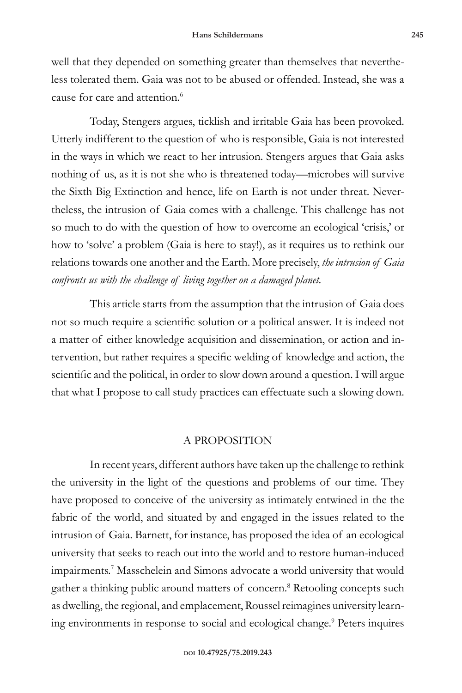well that they depended on something greater than themselves that nevertheless tolerated them. Gaia was not to be abused or offended. Instead, she was a cause for care and attention.<sup>6</sup>

Today, Stengers argues, ticklish and irritable Gaia has been provoked. Utterly indifferent to the question of who is responsible, Gaia is not interested in the ways in which we react to her intrusion. Stengers argues that Gaia asks nothing of us, as it is not she who is threatened today—microbes will survive the Sixth Big Extinction and hence, life on Earth is not under threat. Nevertheless, the intrusion of Gaia comes with a challenge. This challenge has not so much to do with the question of how to overcome an ecological 'crisis,' or how to 'solve' a problem (Gaia is here to stay!), as it requires us to rethink our relations towards one another and the Earth. More precisely, *the intrusion of Gaia confronts us with the challenge of living together on a damaged planet.*

This article starts from the assumption that the intrusion of Gaia does not so much require a scientific solution or a political answer. It is indeed not a matter of either knowledge acquisition and dissemination, or action and intervention, but rather requires a specific welding of knowledge and action, the scientific and the political, in order to slow down around a question. I will argue that what I propose to call study practices can effectuate such a slowing down.

## A PROPOSITION

In recent years, different authors have taken up the challenge to rethink the university in the light of the questions and problems of our time. They have proposed to conceive of the university as intimately entwined in the the fabric of the world, and situated by and engaged in the issues related to the intrusion of Gaia. Barnett, for instance, has proposed the idea of an ecological university that seeks to reach out into the world and to restore human-induced impairments.<sup>7</sup> Masschelein and Simons advocate a world university that would gather a thinking public around matters of concern.<sup>8</sup> Retooling concepts such as dwelling, the regional, and emplacement, Roussel reimagines university learning environments in response to social and ecological change.<sup>9</sup> Peters inquires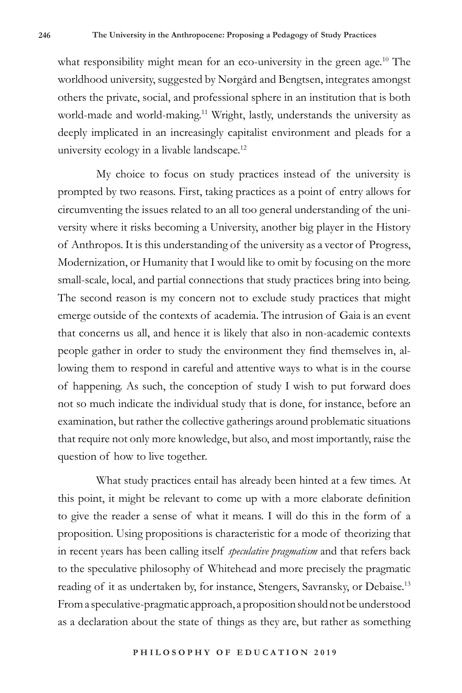what responsibility might mean for an eco-university in the green age.<sup>10</sup> The worldhood university, suggested by Nørgård and Bengtsen, integrates amongst others the private, social, and professional sphere in an institution that is both world-made and world-making.11 Wright, lastly, understands the university as deeply implicated in an increasingly capitalist environment and pleads for a university ecology in a livable landscape.<sup>12</sup>

My choice to focus on study practices instead of the university is prompted by two reasons. First, taking practices as a point of entry allows for circumventing the issues related to an all too general understanding of the university where it risks becoming a University, another big player in the History of Anthropos. It is this understanding of the university as a vector of Progress, Modernization, or Humanity that I would like to omit by focusing on the more small-scale, local, and partial connections that study practices bring into being. The second reason is my concern not to exclude study practices that might emerge outside of the contexts of academia. The intrusion of Gaia is an event that concerns us all, and hence it is likely that also in non-academic contexts people gather in order to study the environment they find themselves in, allowing them to respond in careful and attentive ways to what is in the course of happening. As such, the conception of study I wish to put forward does not so much indicate the individual study that is done, for instance, before an examination, but rather the collective gatherings around problematic situations that require not only more knowledge, but also, and most importantly, raise the question of how to live together.

What study practices entail has already been hinted at a few times. At this point, it might be relevant to come up with a more elaborate definition to give the reader a sense of what it means. I will do this in the form of a proposition. Using propositions is characteristic for a mode of theorizing that in recent years has been calling itself *speculative pragmatism* and that refers back to the speculative philosophy of Whitehead and more precisely the pragmatic reading of it as undertaken by, for instance, Stengers, Savransky, or Debaise.<sup>13</sup> From a speculative-pragmatic approach, a proposition should not be understood as a declaration about the state of things as they are, but rather as something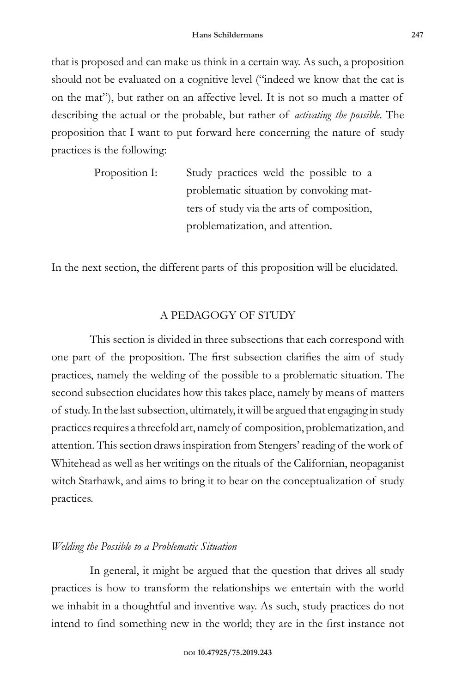that is proposed and can make us think in a certain way. As such, a proposition should not be evaluated on a cognitive level ("indeed we know that the cat is on the mat"), but rather on an affective level. It is not so much a matter of describing the actual or the probable, but rather of *activating the possible*. The proposition that I want to put forward here concerning the nature of study practices is the following:

| Proposition I: | Study practices weld the possible to a     |
|----------------|--------------------------------------------|
|                | problematic situation by convoking mat-    |
|                | ters of study via the arts of composition, |
|                | problematization, and attention.           |

In the next section, the different parts of this proposition will be elucidated.

### A PEDAGOGY OF STUDY

This section is divided in three subsections that each correspond with one part of the proposition. The first subsection clarifies the aim of study practices, namely the welding of the possible to a problematic situation. The second subsection elucidates how this takes place, namely by means of matters of study. In the last subsection, ultimately, it will be argued that engaging in study practices requires a threefold art, namely of composition, problematization, and attention. This section draws inspiration from Stengers' reading of the work of Whitehead as well as her writings on the rituals of the Californian, neopaganist witch Starhawk, and aims to bring it to bear on the conceptualization of study practices.

## *Welding the Possible to a Problematic Situation*

In general, it might be argued that the question that drives all study practices is how to transform the relationships we entertain with the world we inhabit in a thoughtful and inventive way. As such, study practices do not intend to find something new in the world; they are in the first instance not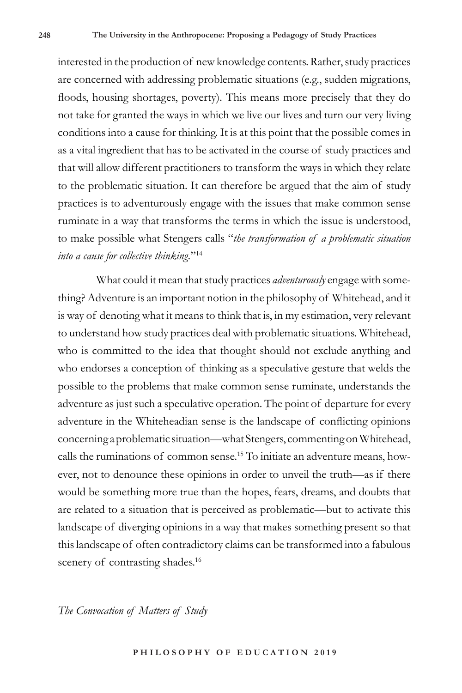interested in the production of new knowledge contents. Rather, study practices are concerned with addressing problematic situations (e.g., sudden migrations, floods, housing shortages, poverty). This means more precisely that they do not take for granted the ways in which we live our lives and turn our very living conditions into a cause for thinking. It is at this point that the possible comes in as a vital ingredient that has to be activated in the course of study practices and that will allow different practitioners to transform the ways in which they relate to the problematic situation. It can therefore be argued that the aim of study practices is to adventurously engage with the issues that make common sense ruminate in a way that transforms the terms in which the issue is understood, to make possible what Stengers calls "*the transformation of a problematic situation into a cause for collective thinking.*"14

What could it mean that study practices *adventurously* engage with something? Adventure is an important notion in the philosophy of Whitehead, and it is way of denoting what it means to think that is, in my estimation, very relevant to understand how study practices deal with problematic situations. Whitehead, who is committed to the idea that thought should not exclude anything and who endorses a conception of thinking as a speculative gesture that welds the possible to the problems that make common sense ruminate, understands the adventure as just such a speculative operation. The point of departure for every adventure in the Whiteheadian sense is the landscape of conflicting opinions concerning a problematic situation—what Stengers, commenting on Whitehead, calls the ruminations of common sense.15 To initiate an adventure means, however, not to denounce these opinions in order to unveil the truth—as if there would be something more true than the hopes, fears, dreams, and doubts that are related to a situation that is perceived as problematic—but to activate this landscape of diverging opinions in a way that makes something present so that this landscape of often contradictory claims can be transformed into a fabulous scenery of contrasting shades.<sup>16</sup>

*The Convocation of Matters of Study*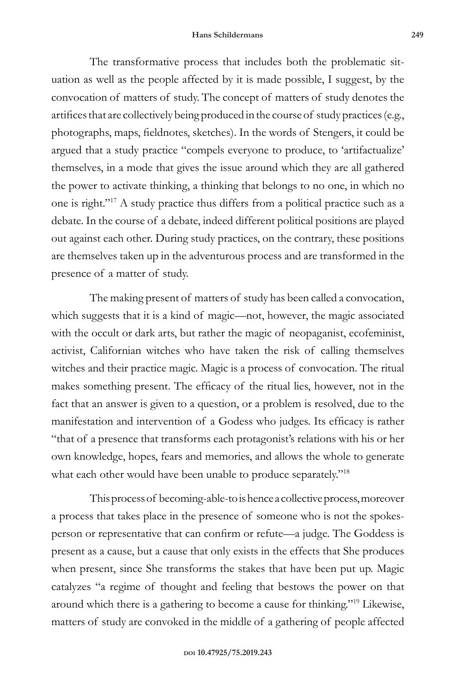The transformative process that includes both the problematic situation as well as the people affected by it is made possible, I suggest, by the convocation of matters of study. The concept of matters of study denotes the artifices that are collectively being produced in the course of study practices (e.g., photographs, maps, fieldnotes, sketches). In the words of Stengers, it could be argued that a study practice "compels everyone to produce, to 'artifactualize' themselves, in a mode that gives the issue around which they are all gathered the power to activate thinking, a thinking that belongs to no one, in which no one is right."17 A study practice thus differs from a political practice such as a debate. In the course of a debate, indeed different political positions are played out against each other. During study practices, on the contrary, these positions are themselves taken up in the adventurous process and are transformed in the presence of a matter of study.

The making present of matters of study has been called a convocation, which suggests that it is a kind of magic—not, however, the magic associated with the occult or dark arts, but rather the magic of neopaganist, ecofeminist, activist, Californian witches who have taken the risk of calling themselves witches and their practice magic. Magic is a process of convocation. The ritual makes something present. The efficacy of the ritual lies, however, not in the fact that an answer is given to a question, or a problem is resolved, due to the manifestation and intervention of a Godess who judges. Its efficacy is rather "that of a presence that transforms each protagonist's relations with his or her own knowledge, hopes, fears and memories, and allows the whole to generate what each other would have been unable to produce separately."<sup>18</sup>

This process of becoming-able-to is hence a collective process, moreover a process that takes place in the presence of someone who is not the spokesperson or representative that can confirm or refute—a judge. The Goddess is present as a cause, but a cause that only exists in the effects that She produces when present, since She transforms the stakes that have been put up. Magic catalyzes "a regime of thought and feeling that bestows the power on that around which there is a gathering to become a cause for thinking."19 Likewise, matters of study are convoked in the middle of a gathering of people affected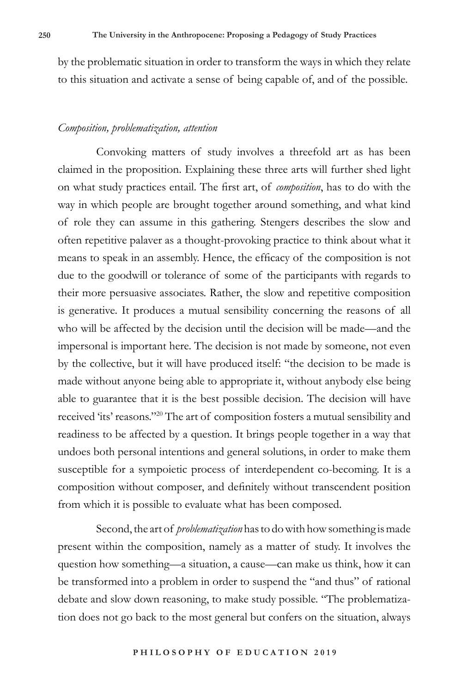by the problematic situation in order to transform the ways in which they relate to this situation and activate a sense of being capable of, and of the possible.

#### *Composition, problematization, attention*

Convoking matters of study involves a threefold art as has been claimed in the proposition. Explaining these three arts will further shed light on what study practices entail. The first art, of *composition*, has to do with the way in which people are brought together around something, and what kind of role they can assume in this gathering. Stengers describes the slow and often repetitive palaver as a thought-provoking practice to think about what it means to speak in an assembly. Hence, the efficacy of the composition is not due to the goodwill or tolerance of some of the participants with regards to their more persuasive associates. Rather, the slow and repetitive composition is generative. It produces a mutual sensibility concerning the reasons of all who will be affected by the decision until the decision will be made—and the impersonal is important here. The decision is not made by someone, not even by the collective, but it will have produced itself: "the decision to be made is made without anyone being able to appropriate it, without anybody else being able to guarantee that it is the best possible decision. The decision will have received 'its' reasons."20 The art of composition fosters a mutual sensibility and readiness to be affected by a question. It brings people together in a way that undoes both personal intentions and general solutions, in order to make them susceptible for a sympoietic process of interdependent co-becoming. It is a composition without composer, and definitely without transcendent position from which it is possible to evaluate what has been composed.

Second, the art of *problematization* has to do with how something is made present within the composition, namely as a matter of study. It involves the question how something—a situation, a cause—can make us think, how it can be transformed into a problem in order to suspend the "and thus" of rational debate and slow down reasoning, to make study possible. "The problematization does not go back to the most general but confers on the situation, always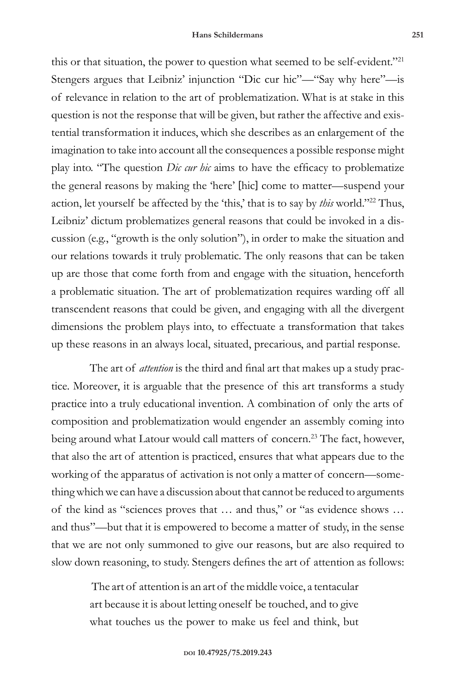this or that situation, the power to question what seemed to be self-evident."<sup>21</sup> Stengers argues that Leibniz' injunction "Dic cur hic"—"Say why here"—is of relevance in relation to the art of problematization. What is at stake in this question is not the response that will be given, but rather the affective and existential transformation it induces, which she describes as an enlargement of the imagination to take into account all the consequences a possible response might play into. "The question *Dic cur hic* aims to have the efficacy to problematize the general reasons by making the 'here' [hic] come to matter—suspend your action, let yourself be affected by the 'this,' that is to say by *this* world."22 Thus, Leibniz' dictum problematizes general reasons that could be invoked in a discussion (e.g., "growth is the only solution"), in order to make the situation and our relations towards it truly problematic. The only reasons that can be taken up are those that come forth from and engage with the situation, henceforth a problematic situation. The art of problematization requires warding off all transcendent reasons that could be given, and engaging with all the divergent dimensions the problem plays into, to effectuate a transformation that takes up these reasons in an always local, situated, precarious, and partial response.

The art of *attention* is the third and final art that makes up a study practice. Moreover, it is arguable that the presence of this art transforms a study practice into a truly educational invention. A combination of only the arts of composition and problematization would engender an assembly coming into being around what Latour would call matters of concern.<sup>23</sup> The fact, however, that also the art of attention is practiced, ensures that what appears due to the working of the apparatus of activation is not only a matter of concern—something which we can have a discussion about that cannot be reduced to arguments of the kind as "sciences proves that … and thus," or "as evidence shows … and thus"—but that it is empowered to become a matter of study, in the sense that we are not only summoned to give our reasons, but are also required to slow down reasoning, to study. Stengers defines the art of attention as follows:

> The art of attention is an art of the middle voice, a tentacular art because it is about letting oneself be touched, and to give what touches us the power to make us feel and think, but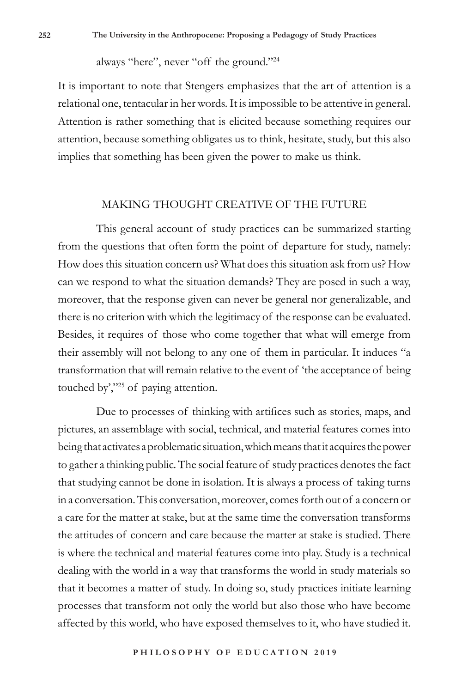always "here", never "off the ground."<sup>24</sup>

It is important to note that Stengers emphasizes that the art of attention is a relational one, tentacular in her words. It is impossible to be attentive in general. Attention is rather something that is elicited because something requires our attention, because something obligates us to think, hesitate, study, but this also implies that something has been given the power to make us think.

## MAKING THOUGHT CREATIVE OF THE FUTURE

This general account of study practices can be summarized starting from the questions that often form the point of departure for study, namely: How does this situation concern us? What does this situation ask from us? How can we respond to what the situation demands? They are posed in such a way, moreover, that the response given can never be general nor generalizable, and there is no criterion with which the legitimacy of the response can be evaluated. Besides, it requires of those who come together that what will emerge from their assembly will not belong to any one of them in particular. It induces "a transformation that will remain relative to the event of 'the acceptance of being touched by',"25 of paying attention.

Due to processes of thinking with artifices such as stories, maps, and pictures, an assemblage with social, technical, and material features comes into being that activates a problematic situation, which means that it acquires the power to gather a thinking public. The social feature of study practices denotes the fact that studying cannot be done in isolation. It is always a process of taking turns in a conversation. This conversation, moreover, comes forth out of a concern or a care for the matter at stake, but at the same time the conversation transforms the attitudes of concern and care because the matter at stake is studied. There is where the technical and material features come into play. Study is a technical dealing with the world in a way that transforms the world in study materials so that it becomes a matter of study. In doing so, study practices initiate learning processes that transform not only the world but also those who have become affected by this world, who have exposed themselves to it, who have studied it.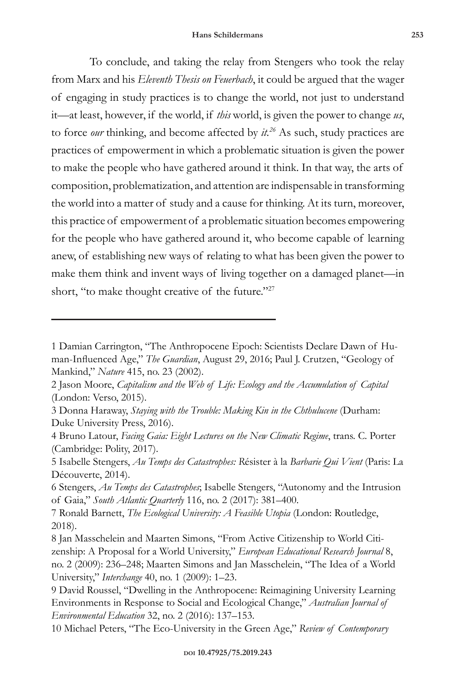To conclude, and taking the relay from Stengers who took the relay from Marx and his *Eleventh Thesis on Feuerbach*, it could be argued that the wager of engaging in study practices is to change the world, not just to understand it—at least, however, if the world, if *this* world, is given the power to change *us*, to force *our* thinking, and become affected by *it.26* As such, study practices are practices of empowerment in which a problematic situation is given the power to make the people who have gathered around it think. In that way, the arts of composition, problematization, and attention are indispensable in transforming the world into a matter of study and a cause for thinking. At its turn, moreover, this practice of empowerment of a problematic situation becomes empowering for the people who have gathered around it, who become capable of learning anew, of establishing new ways of relating to what has been given the power to make them think and invent ways of living together on a damaged planet—in short, "to make thought creative of the future."<sup>27</sup>

<sup>1</sup> Damian Carrington, "The Anthropocene Epoch: Scientists Declare Dawn of Human-Influenced Age," *The Guardian*, August 29, 2016; Paul J. Crutzen, "Geology of Mankind," *Nature* 415, no. 23 (2002).

<sup>2</sup> Jason Moore, *Capitalism and the Web of Life: Ecology and the Accumulation of Capital* (London: Verso, 2015).

<sup>3</sup> Donna Haraway, *Staying with the Trouble: Making Kin in the Chthulucene* (Durham: Duke University Press, 2016).

<sup>4</sup> Bruno Latour, *Facing Gaia: Eight Lectures on the New Climatic Regime*, trans. C. Porter (Cambridge: Polity, 2017).

<sup>5</sup> Isabelle Stengers, *Au Temps des Catastrophes: R*ésister à la *Barbarie Qui Vient* (Paris: La Découverte, 2014).

<sup>6</sup> Stengers, *Au Temps des Catastrophes*; Isabelle Stengers, "Autonomy and the Intrusion of Gaia," *South Atlantic Quarterly* 116, no. 2 (2017): 381–400.

<sup>7</sup> Ronald Barnett, *The Ecological University: A Feasible Utopia* (London: Routledge, 2018).

<sup>8</sup> Jan Masschelein and Maarten Simons, "From Active Citizenship to World Citizenship: A Proposal for a World University," *European Educational Research Journal* 8, no. 2 (2009): 236–248; Maarten Simons and Jan Masschelein, "The Idea of a World University," *Interchange* 40, no. 1 (2009): 1–23.

<sup>9</sup> David Roussel, "Dwelling in the Anthropocene: Reimagining University Learning Environments in Response to Social and Ecological Change," *Australian Journal of Environmental Education* 32, no. 2 (2016): 137–153.

<sup>10</sup> Michael Peters, "The Eco-University in the Green Age," *Review of Contemporary*